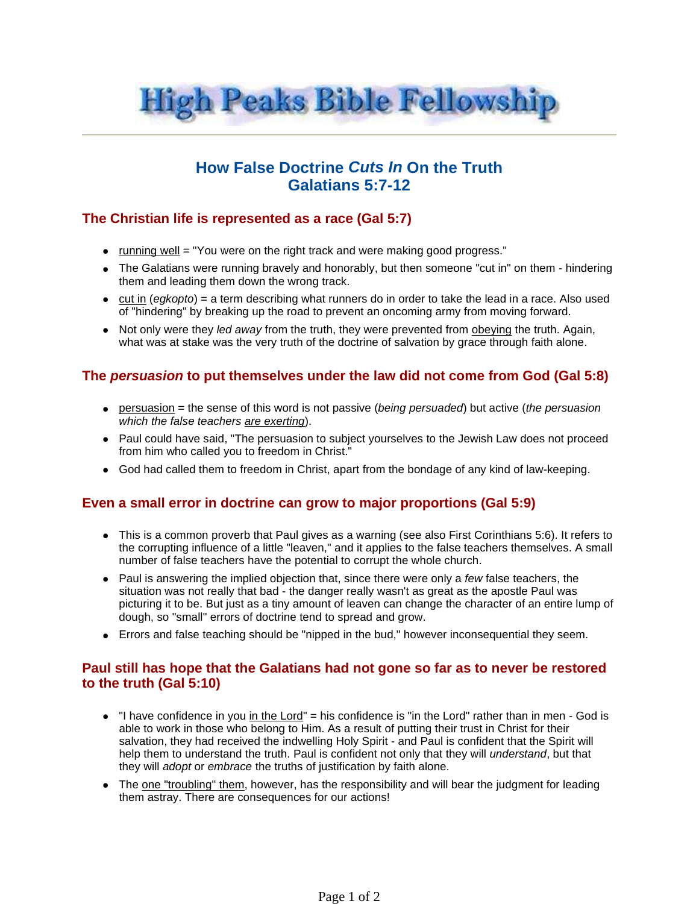

# **How False Doctrine Cuts In On the Truth Galatians 5:7-12**

## **The Christian life is represented as a race (Gal 5:7)**

- running well = "You were on the right track and were making good progress."
- The Galatians were running bravely and honorably, but then someone "cut in" on them hindering them and leading them down the wrong track.
- $\bullet$  cut in (egkopto) = a term describing what runners do in order to take the lead in a race. Also used of "hindering" by breaking up the road to prevent an oncoming army from moving forward.
- Not only were they led away from the truth, they were prevented from obeying the truth. Again, what was at stake was the very truth of the doctrine of salvation by grace through faith alone.

#### **The persuasion to put themselves under the law did not come from God (Gal 5:8)**

- **•** persuasion = the sense of this word is not passive (being persuaded) but active (the persuasion which the false teachers are exerting).
- Paul could have said, "The persuasion to subject yourselves to the Jewish Law does not proceed from him who called you to freedom in Christ."
- God had called them to freedom in Christ, apart from the bondage of any kind of law-keeping.

## **Even a small error in doctrine can grow to major proportions (Gal 5:9)**

- This is a common proverb that Paul gives as a warning (see also First Corinthians 5:6). It refers to the corrupting influence of a little "leaven," and it applies to the false teachers themselves. A small number of false teachers have the potential to corrupt the whole church.
- $\bullet$  Paul is answering the implied objection that, since there were only a few false teachers, the situation was not really that bad - the danger really wasn't as great as the apostle Paul was picturing it to be. But just as a tiny amount of leaven can change the character of an entire lump of dough, so "small" errors of doctrine tend to spread and grow.
- Errors and false teaching should be "nipped in the bud," however inconsequential they seem.

#### **Paul still has hope that the Galatians had not gone so far as to never be restored to the truth (Gal 5:10)**

- $\bullet$  "I have confidence in you in the Lord" = his confidence is "in the Lord" rather than in men God is able to work in those who belong to Him. As a result of putting their trust in Christ for their salvation, they had received the indwelling Holy Spirit - and Paul is confident that the Spirit will help them to understand the truth. Paul is confident not only that they will *understand*, but that they will adopt or embrace the truths of justification by faith alone.
- The one "troubling" them, however, has the responsibility and will bear the judgment for leading them astray. There are consequences for our actions!